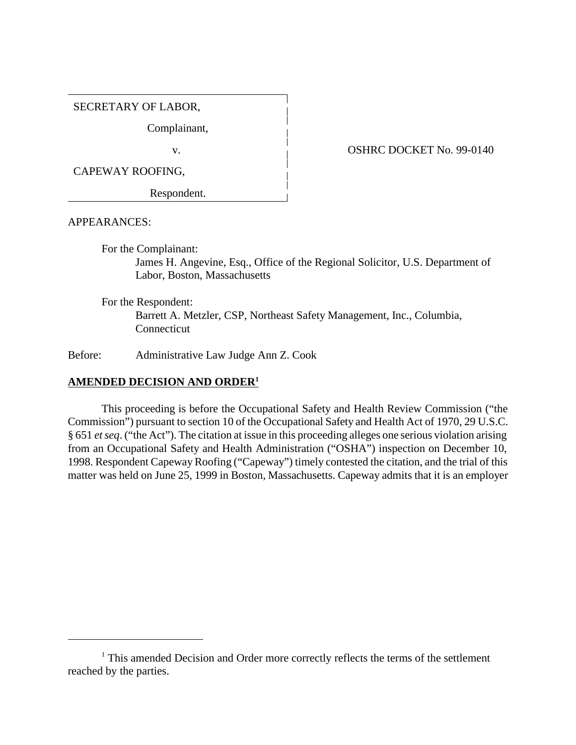#### SECRETARY OF LABOR,

Complainant,

CAPEWAY ROOFING,

Respondent.

v. 6. 08HRC DOCKET No. 99-0140

APPEARANCES:

For the Complainant:

James H. Angevine, Esq., Office of the Regional Solicitor, U.S. Department of Labor, Boston, Massachusetts

For the Respondent:

Barrett A. Metzler, CSP, Northeast Safety Management, Inc., Columbia, **Connecticut** 

Before: Administrative Law Judge Ann Z. Cook

### **AMENDED DECISION AND ORDER1**

This proceeding is before the Occupational Safety and Health Review Commission ("the Commission") pursuant to section 10 of the Occupational Safety and Health Act of 1970, 29 U.S.C. § 651 *et seq*. ("the Act"). The citation at issue in this proceeding alleges one serious violation arising from an Occupational Safety and Health Administration ("OSHA") inspection on December 10, 1998. Respondent Capeway Roofing ("Capeway") timely contested the citation, and the trial of this matter was held on June 25, 1999 in Boston, Massachusetts. Capeway admits that it is an employer

<sup>&</sup>lt;sup>1</sup> This amended Decision and Order more correctly reflects the terms of the settlement reached by the parties.